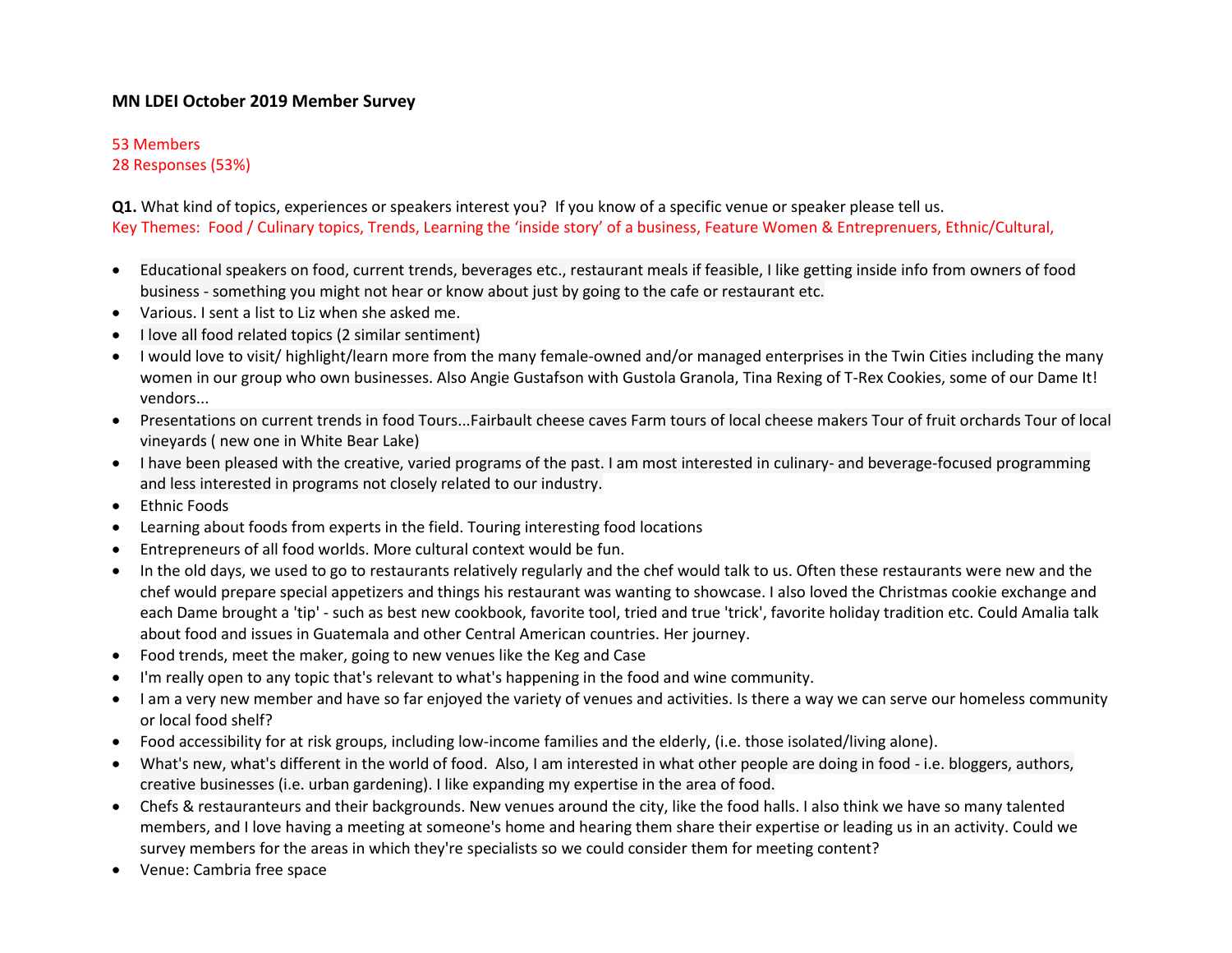# **MN LDEI October 2019 Member Survey**

### 53 Members

28 Responses (53%)

**Q1.** What kind of topics, experiences or speakers interest you? If you know of a specific venue or speaker please tell us. Key Themes: Food / Culinary topics, Trends, Learning the 'inside story' of a business, Feature Women & Entreprenuers, Ethnic/Cultural,

- Educational speakers on food, current trends, beverages etc., restaurant meals if feasible, I like getting inside info from owners of food business - something you might not hear or know about just by going to the cafe or restaurant etc.
- Various. I sent a list to Liz when she asked me.
- I love all food related topics (2 similar sentiment)
- I would love to visit/ highlight/learn more from the many female-owned and/or managed enterprises in the Twin Cities including the many women in our group who own businesses. Also Angie Gustafson with Gustola Granola, Tina Rexing of T-Rex Cookies, some of our Dame It! vendors...
- Presentations on current trends in food Tours...Fairbault cheese caves Farm tours of local cheese makers Tour of fruit orchards Tour of local vineyards ( new one in White Bear Lake)
- I have been pleased with the creative, varied programs of the past. I am most interested in culinary- and beverage-focused programming and less interested in programs not closely related to our industry.
- Ethnic Foods
- Learning about foods from experts in the field. Touring interesting food locations
- Entrepreneurs of all food worlds. More cultural context would be fun.
- In the old days, we used to go to restaurants relatively regularly and the chef would talk to us. Often these restaurants were new and the chef would prepare special appetizers and things his restaurant was wanting to showcase. I also loved the Christmas cookie exchange and each Dame brought a 'tip' - such as best new cookbook, favorite tool, tried and true 'trick', favorite holiday tradition etc. Could Amalia talk about food and issues in Guatemala and other Central American countries. Her journey.
- Food trends, meet the maker, going to new venues like the Keg and Case
- I'm really open to any topic that's relevant to what's happening in the food and wine community.
- I am a very new member and have so far enjoyed the variety of venues and activities. Is there a way we can serve our homeless community or local food shelf?
- Food accessibility for at risk groups, including low-income families and the elderly, (i.e. those isolated/living alone).
- What's new, what's different in the world of food. Also, I am interested in what other people are doing in food i.e. bloggers, authors, creative businesses (i.e. urban gardening). I like expanding my expertise in the area of food.
- Chefs & restauranteurs and their backgrounds. New venues around the city, like the food halls. I also think we have so many talented members, and I love having a meeting at someone's home and hearing them share their expertise or leading us in an activity. Could we survey members for the areas in which they're specialists so we could consider them for meeting content?
- Venue: Cambria free space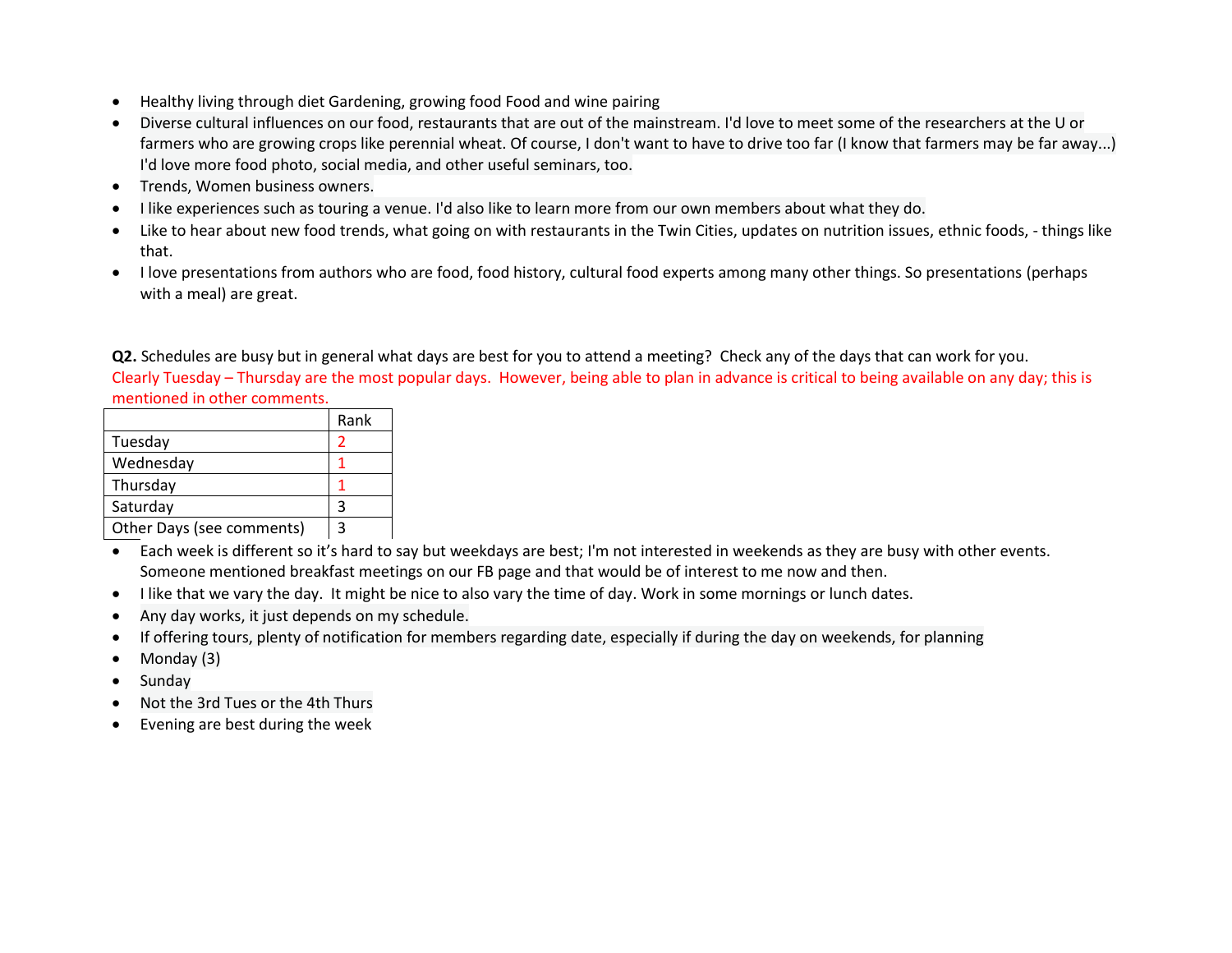- Healthy living through diet Gardening, growing food Food and wine pairing
- Diverse cultural influences on our food, restaurants that are out of the mainstream. I'd love to meet some of the researchers at the U or farmers who are growing crops like perennial wheat. Of course, I don't want to have to drive too far (I know that farmers may be far away...) I'd love more food photo, social media, and other useful seminars, too.
- Trends, Women business owners.
- I like experiences such as touring a venue. I'd also like to learn more from our own members about what they do.
- Like to hear about new food trends, what going on with restaurants in the Twin Cities, updates on nutrition issues, ethnic foods, things like that.
- I love presentations from authors who are food, food history, cultural food experts among many other things. So presentations (perhaps with a meal) are great.

**Q2.** Schedules are busy but in general what days are best for you to attend a meeting? Check any of the days that can work for you. Clearly Tuesday – Thursday are the most popular days. However, being able to plan in advance is critical to being available on any day; this is mentioned in other comments.

|                           | Rank |
|---------------------------|------|
| Tuesday                   |      |
| Wednesday                 |      |
| Thursday                  |      |
| Saturday                  |      |
| Other Days (see comments) |      |

- Each week is different so it's hard to say but weekdays are best; I'm not interested in weekends as they are busy with other events. Someone mentioned breakfast meetings on our FB page and that would be of interest to me now and then.
- I like that we vary the day. It might be nice to also vary the time of day. Work in some mornings or lunch dates.
- Any day works, it just depends on my schedule.
- If offering tours, plenty of notification for members regarding date, especially if during the day on weekends, for planning
- Monday (3)
- Sunday
- Not the 3rd Tues or the 4th Thurs
- Evening are best during the week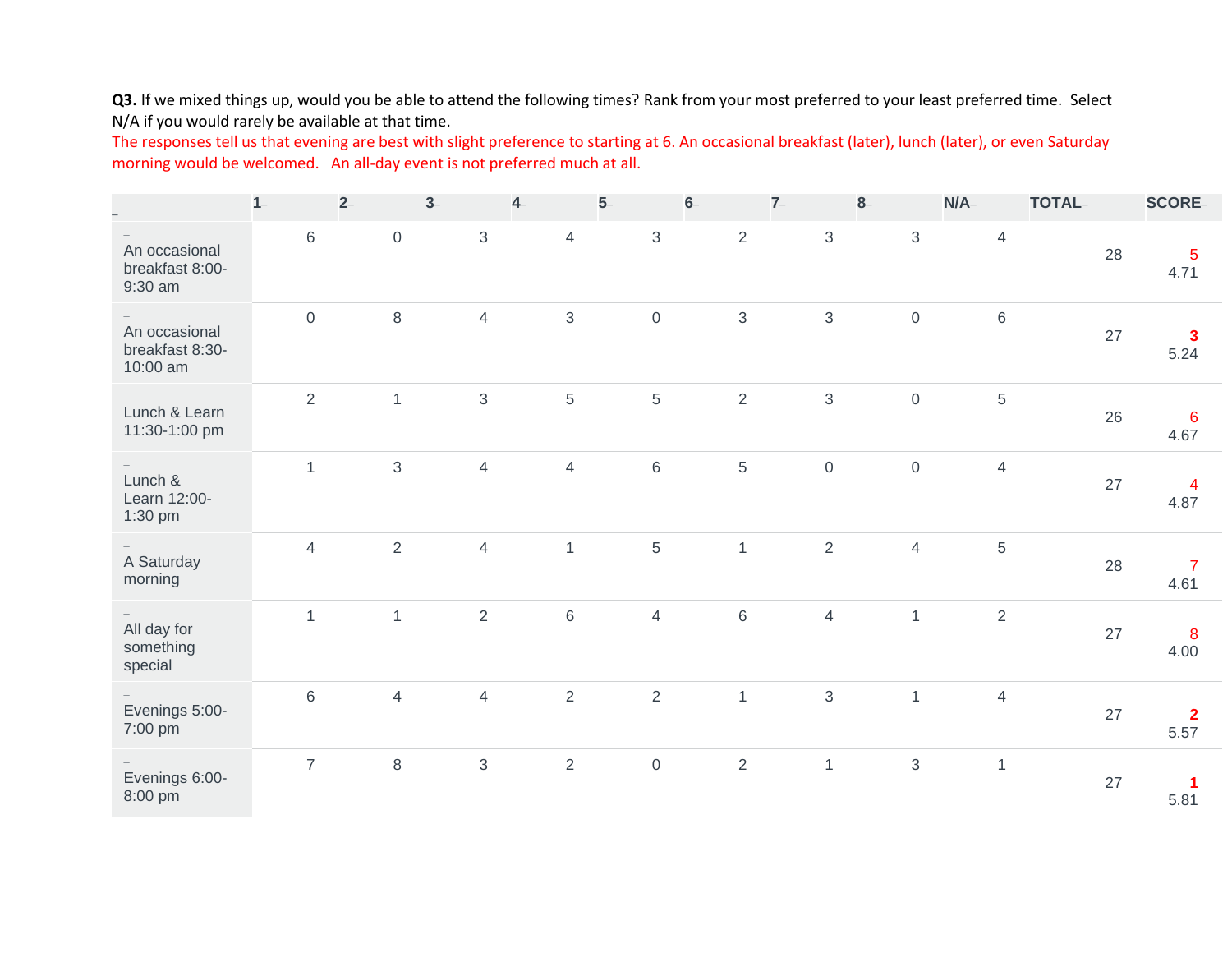Q3. If we mixed things up, would you be able to attend the following times? Rank from your most preferred to your least preferred time. Select N/A if you would rarely be available at that time.

The responses tell us that evening are best with slight preference to starting at 6. An occasional breakfast (later), lunch (later), or even Saturday morning would be welcomed. An all-day event is not preferred much at all.

|                                              | $1 -$               | $2-$           | $3-$           | $4-$           | $5-$                | $6-$ | $7-$           | $8-$             | N/A            | <b>TOTAL-</b>  |    | <b>SCORE-</b>                   |
|----------------------------------------------|---------------------|----------------|----------------|----------------|---------------------|------|----------------|------------------|----------------|----------------|----|---------------------------------|
| An occasional<br>breakfast 8:00-<br>9:30 am  | $\,6\,$             | $\mathsf{O}$   | 3              | $\overline{4}$ | $\mathbf{3}$        |      | $\overline{2}$ | $\mathfrak{S}$   | $\mathfrak{S}$ | $\overline{4}$ | 28 | $\overline{5}$<br>4.71          |
| An occasional<br>breakfast 8:30-<br>10:00 am | $\mathsf{O}\xspace$ | $\,8\,$        | $\overline{4}$ | $\mathfrak{S}$ | $\mathbf 0$         |      | $\mathbf{3}$   | $\mathfrak{S}$   | $\mathbf 0$    | 6              | 27 | $\overline{\mathbf{3}}$<br>5.24 |
| Lunch & Learn<br>11:30-1:00 pm               | $\overline{2}$      | $\overline{1}$ | 3              | 5              | 5                   |      | $\overline{2}$ | $\mathfrak{S}$   | $\mathbf 0$    | 5              | 26 | 6<br>4.67                       |
| Lunch &<br>Learn 12:00-<br>1:30 pm           | $\mathbf{1}$        | $\mathfrak{S}$ | $\overline{4}$ | $\overline{4}$ | 6                   |      | $\,$ 5 $\,$    | $\boldsymbol{0}$ | $\mathbf 0$    | $\overline{4}$ | 27 | $\overline{4}$<br>4.87          |
| A Saturday<br>morning                        | $\overline{4}$      | $\overline{2}$ | $\overline{4}$ | $\mathbf{1}$   | 5                   |      | $\mathbf{1}$   | $\overline{2}$   | $\overline{4}$ | 5              | 28 | $\overline{7}$<br>4.61          |
| All day for<br>something<br>special          | $\mathbf{1}$        | $\mathbf{1}$   | $\overline{2}$ | $\,6\,$        | $\overline{4}$      |      | $\,6\,$        | $\overline{4}$   | $\mathbf{1}$   | $\overline{2}$ | 27 | 8<br>4.00                       |
| Evenings 5:00-<br>7:00 pm                    | 6                   | $\overline{4}$ | $\overline{4}$ | $\overline{2}$ | $\overline{2}$      |      | $\mathbf{1}$   | $\sqrt{3}$       | $\mathbf{1}$   | $\overline{4}$ | 27 | $\mathbf{2}$<br>5.57            |
| Evenings 6:00-<br>8:00 pm                    | $\overline{7}$      | $\,8\,$        | 3              | $\overline{2}$ | $\mathsf{O}\xspace$ |      | $\overline{2}$ | $\mathbf{1}$     | $\sqrt{3}$     | $\mathbf{1}$   | 27 | -1<br>5.81                      |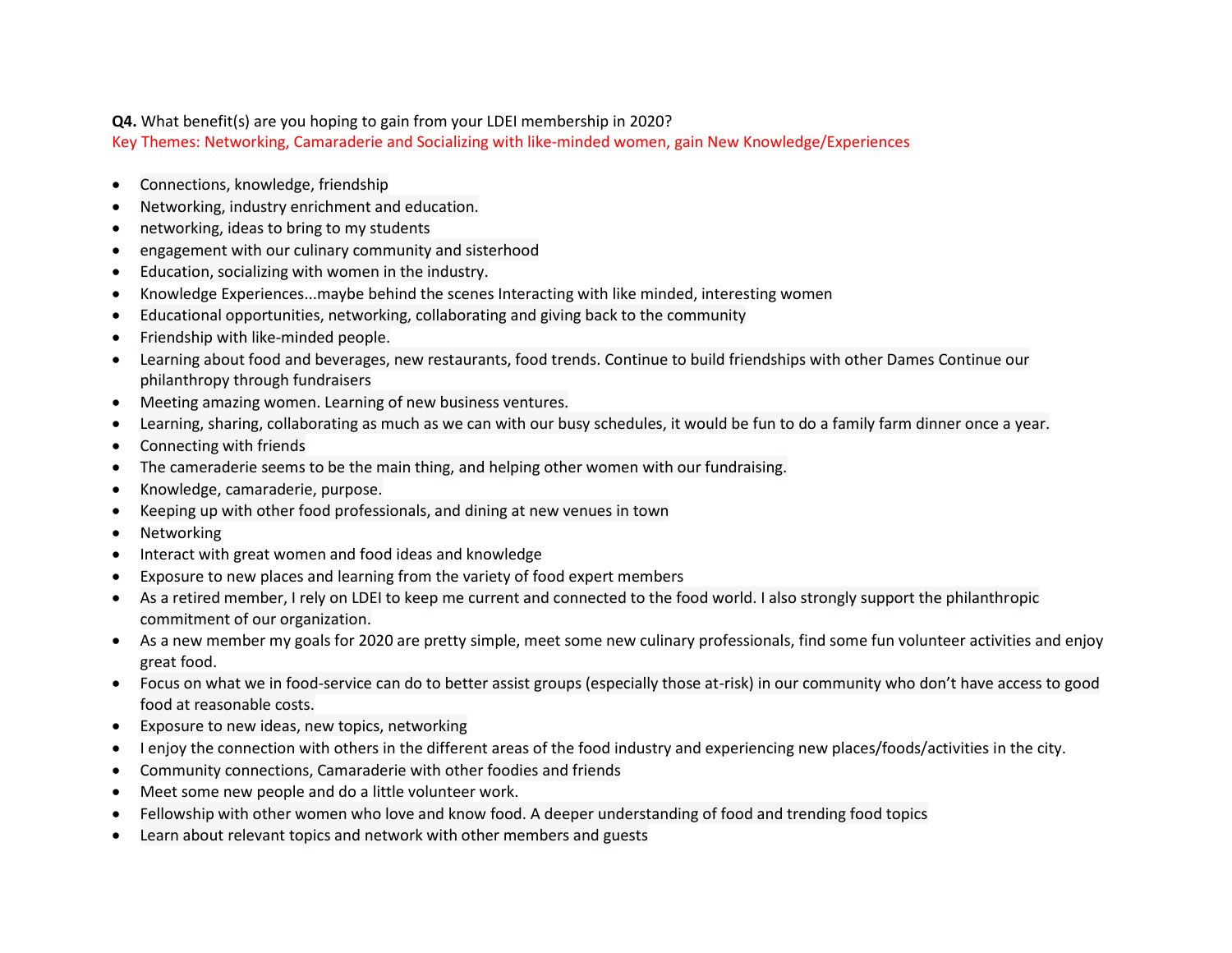#### **Q4.** What benefit(s) are you hoping to gain from your LDEI membership in 2020?

Key Themes: Networking, Camaraderie and Socializing with like-minded women, gain New Knowledge/Experiences

- Connections, knowledge, friendship
- Networking, industry enrichment and education.
- networking, ideas to bring to my students
- engagement with our culinary community and sisterhood
- Education, socializing with women in the industry.
- Knowledge Experiences...maybe behind the scenes Interacting with like minded, interesting women
- Educational opportunities, networking, collaborating and giving back to the community
- Friendship with like-minded people.
- Learning about food and beverages, new restaurants, food trends. Continue to build friendships with other Dames Continue our philanthropy through fundraisers
- Meeting amazing women. Learning of new business ventures.
- Learning, sharing, collaborating as much as we can with our busy schedules, it would be fun to do a family farm dinner once a year.
- Connecting with friends
- The cameraderie seems to be the main thing, and helping other women with our fundraising.
- Knowledge, camaraderie, purpose.
- Keeping up with other food professionals, and dining at new venues in town
- Networking
- Interact with great women and food ideas and knowledge
- Exposure to new places and learning from the variety of food expert members
- As a retired member, I rely on LDEI to keep me current and connected to the food world. I also strongly support the philanthropic commitment of our organization.
- As a new member my goals for 2020 are pretty simple, meet some new culinary professionals, find some fun volunteer activities and enjoy great food.
- Focus on what we in food-service can do to better assist groups (especially those at-risk) in our community who don't have access to good food at reasonable costs.
- Exposure to new ideas, new topics, networking
- I enjoy the connection with others in the different areas of the food industry and experiencing new places/foods/activities in the city.
- Community connections, Camaraderie with other foodies and friends
- Meet some new people and do a little volunteer work.
- Fellowship with other women who love and know food. A deeper understanding of food and trending food topics
- Learn about relevant topics and network with other members and guests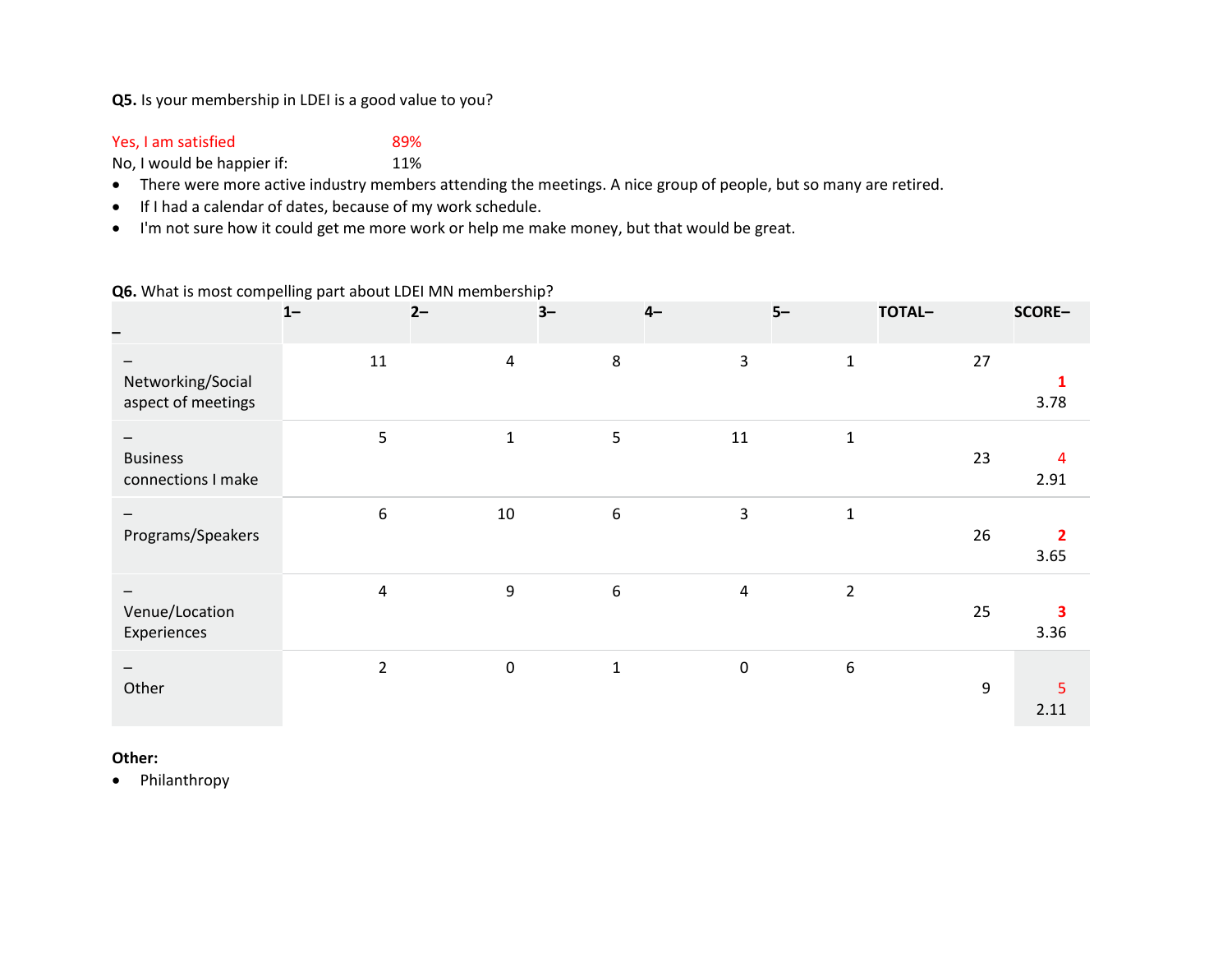## **Q5.** Is your membership in LDEI is a good value to you?

# Yes, I am satisfied 89%

No, I would be happier if: 11%

- There were more active industry members attending the meetings. A nice group of people, but so many are retired.
- If I had a calendar of dates, because of my work schedule.
- I'm not sure how it could get me more work or help me make money, but that would be great.

### **Q6.** What is most compelling part about LDEI MN membership?

|                                         | $1 -$          | $2 -$            | $3-$             | $4-$                | $5-$           | TOTAL- | SCORE-                 |
|-----------------------------------------|----------------|------------------|------------------|---------------------|----------------|--------|------------------------|
| Networking/Social<br>aspect of meetings | 11             | $\pmb{4}$        | $\,8\,$          | $\mathbf{3}$        | $\mathbf 1$    | 27     | 3.78                   |
| <b>Business</b><br>connections I make   | 5              | $\mathbf{1}$     | 5                | 11                  | $\mathbf 1$    | 23     | $\overline{4}$<br>2.91 |
| Programs/Speakers                       | 6              | 10               | $\boldsymbol{6}$ | $\mathbf{3}$        | $\mathbf 1$    | 26     | $\overline{2}$<br>3.65 |
| Venue/Location<br>Experiences           | 4              | $\boldsymbol{9}$ | $\boldsymbol{6}$ | $\overline{a}$      | $\overline{2}$ | 25     | 3<br>3.36              |
| Other                                   | $\overline{2}$ | $\mathbf 0$      | $\mathbf 1$      | $\mathsf{O}\xspace$ | 6              | 9      | 5<br>2.11              |

## **Other:**

• Philanthropy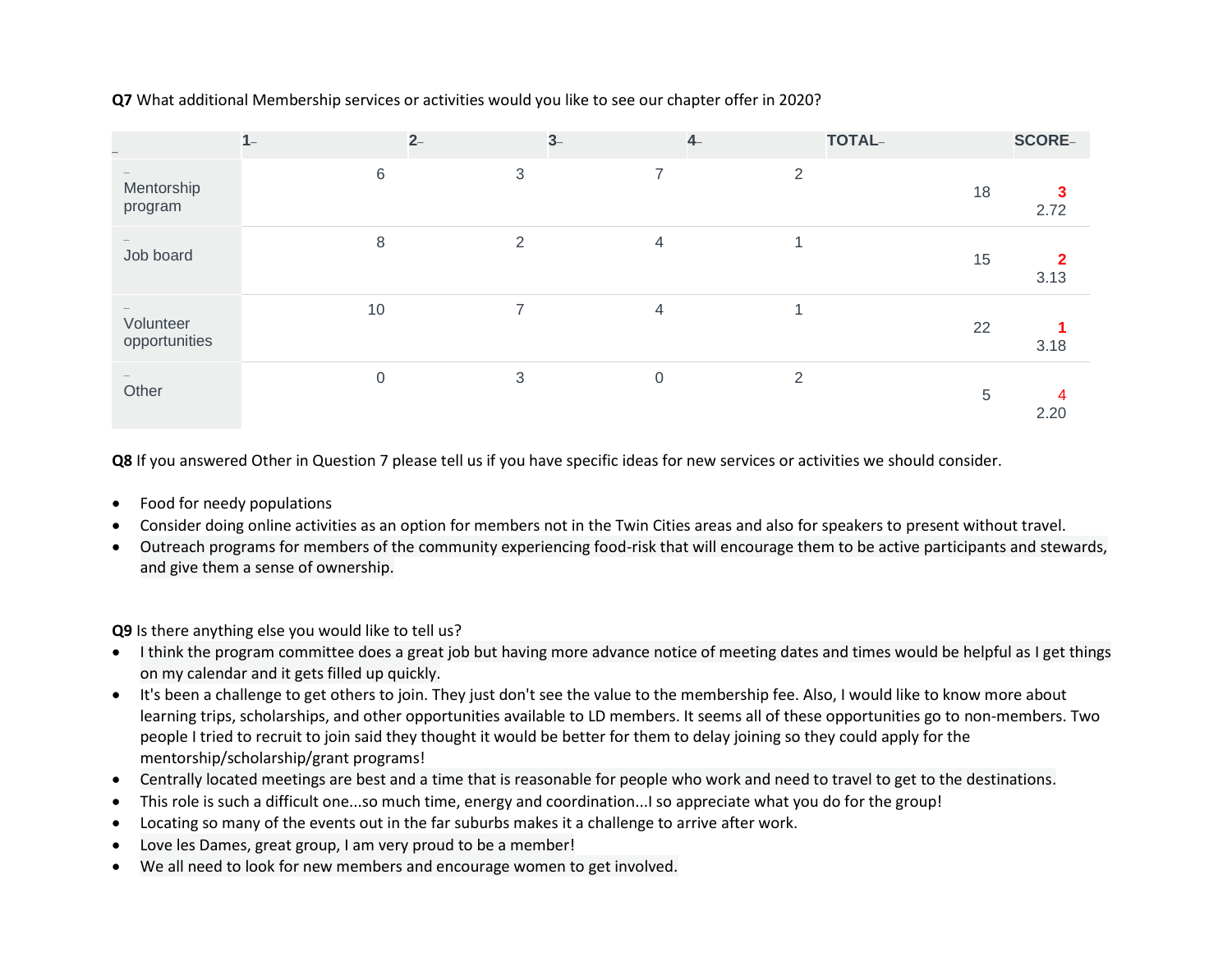**Q7** What additional Membership services or activities would you like to see our chapter offer in 2020?

| $\overline{\phantom{0}}$   | $1 -$    | $2-$           | $3-$           | $4-$           | TOTAL- | <b>SCORE-</b> |
|----------------------------|----------|----------------|----------------|----------------|--------|---------------|
| Mentorship<br>program      | $6\,$    | 3              |                | 2              | 18     | 2.72          |
| Job board                  | 8        | $\overline{2}$ | $\overline{4}$ | 1              | 15     | 3.13          |
| Volunteer<br>opportunities | 10       | 7              | 4              |                | 22     | 3.18          |
| Other                      | $\Omega$ | 3              | $\Omega$       | $\mathfrak{D}$ | 5      | 2.20          |

**Q8** If you answered Other in Question 7 please tell us if you have specific ideas for new services or activities we should consider.

- Food for needy populations
- Consider doing online activities as an option for members not in the Twin Cities areas and also for speakers to present without travel.
- Outreach programs for members of the community experiencing food-risk that will encourage them to be active participants and stewards, and give them a sense of ownership.

**Q9** Is there anything else you would like to tell us?

- I think the program committee does a great job but having more advance notice of meeting dates and times would be helpful as I get things on my calendar and it gets filled up quickly.
- It's been a challenge to get others to join. They just don't see the value to the membership fee. Also, I would like to know more about learning trips, scholarships, and other opportunities available to LD members. It seems all of these opportunities go to non-members. Two people I tried to recruit to join said they thought it would be better for them to delay joining so they could apply for the mentorship/scholarship/grant programs!
- Centrally located meetings are best and a time that is reasonable for people who work and need to travel to get to the destinations.
- This role is such a difficult one...so much time, energy and coordination...I so appreciate what you do for the group!
- Locating so many of the events out in the far suburbs makes it a challenge to arrive after work.
- Love les Dames, great group, I am very proud to be a member!
- We all need to look for new members and encourage women to get involved.